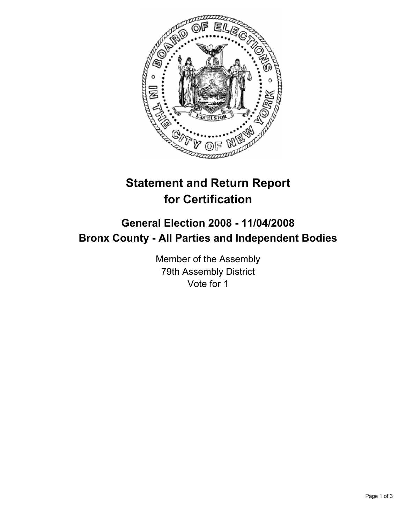

# **Statement and Return Report for Certification**

## **General Election 2008 - 11/04/2008 Bronx County - All Parties and Independent Bodies**

Member of the Assembly 79th Assembly District Vote for 1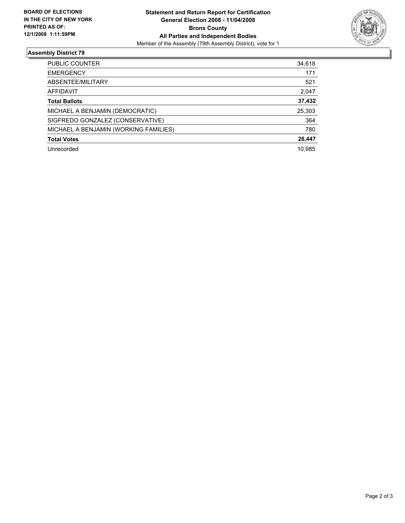

### **Assembly District 79**

| PUBLIC COUNTER                        | 34,618 |
|---------------------------------------|--------|
| <b>EMERGENCY</b>                      | 171    |
| ABSENTEE/MILITARY                     | 521    |
| AFFIDAVIT                             | 2,047  |
| <b>Total Ballots</b>                  | 37,432 |
| MICHAEL A BENJAMIN (DEMOCRATIC)       | 25,303 |
| SIGFREDO GONZALEZ (CONSERVATIVE)      | 364    |
| MICHAEL A BENJAMIN (WORKING FAMILIES) | 780    |
| <b>Total Votes</b>                    | 26,447 |
| Unrecorded                            | 10.985 |